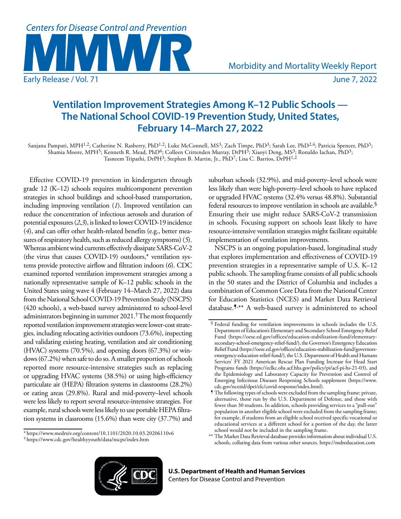

# **Ventilation Improvement Strategies Among K–12 Public Schools — The National School COVID-19 Prevention Study, United States, February 14–March 27, 2022**

Sanjana Pampati, MPH<sup>1,2</sup>; Catherine N. Rasberry, PhD<sup>1,2</sup>; Luke McConnell, MS<sup>3</sup>; Zach Timpe, PhD<sup>3</sup>; Sarah Lee, PhD<sup>2,4</sup>; Patricia Spencer, PhD<sup>5</sup>; Shamia Moore, MPH<sup>5</sup>; Kenneth R. Mead, PhD<sup>6</sup>; Colleen Crittenden Murray, DrPH<sup>3</sup>; Xiaoyi Deng, MS<sup>3</sup>; Ronaldo Iachan, PhD<sup>3</sup>; Tasneem Tripathi, DrPH<sup>3</sup>; Stephen B. Martin, Jr., PhD<sup>7</sup>; Lisa C. Barrios, DrPH<sup>1,2</sup>

Effective COVID-19 prevention in kindergarten through grade 12 (K–12) schools requires multicomponent prevention strategies in school buildings and school-based transportation, including improving ventilation (*1*). Improved ventilation can reduce the concentration of infectious aerosols and duration of potential exposures (*2*,*3*), is linked to lower COVID-19 incidence (*4*), and can offer other health-related benefits (e.g., better measures of respiratory health, such as reduced allergy symptoms) (*5*). Whereas ambient wind currents effectively dissipate SARS-CoV-2 (the virus that causes COVID-19) outdoors,\* ventilation systems provide protective airflow and filtration indoors (*6*). CDC examined reported ventilation improvement strategies among a nationally representative sample of K–12 public schools in the United States using wave 4 (February 14–March 27, 2022) data from the National School COVID-19 Prevention Study (NSCPS) (420 schools), a web-based survey administered to school-level administrators beginning in summer 2021.† The most frequently reported ventilation improvement strategies were lower-cost strategies, including relocating activities outdoors (73.6%), inspecting and validating existing heating, ventilation and air conditioning (HVAC) systems (70.5%), and opening doors (67.3%) or windows (67.2%) when safe to do so. A smaller proportion of schools reported more resource-intensive strategies such as replacing or upgrading HVAC systems (38.5%) or using high-efficiency particulate air (HEPA) filtration systems in classrooms (28.2%) or eating areas (29.8%). Rural and mid-poverty–level schools were less likely to report several resource-intensive strategies. For example, rural schools were less likely to use portable HEPA filtration systems in classrooms (15.6%) than were city (37.7%) and

suburban schools (32.9%), and mid-poverty–level schools were less likely than were high-poverty–level schools to have replaced or upgraded HVAC systems (32.4% versus 48.8%). Substantial federal resources to improve ventilation in schools are available.§ Ensuring their use might reduce SARS-CoV-2 transmission in schools. Focusing support on schools least likely to have resource-intensive ventilation strategies might facilitate equitable implementation of ventilation improvements.

NSCPS is an ongoing population-based, longitudinal study that explores implementation and effectiveness of COVID-19 prevention strategies in a representative sample of U.S. K–12 public schools. The sampling frame consists of all public schools in the 50 states and the District of Columbia and includes a combination of Common Core Data from the National Center for Education Statistics (NCES) and Market Data Retrieval database.<sup>5,\*\*</sup> A web-based survey is administered to school

<sup>\*</sup> <https://www.medrxiv.org/content/10.1101/2020.10.03.20206110v6> † <https://www.cdc.gov/healthyyouth/data/nscps/index.htm>



<sup>§</sup> Federal funding for ventilation improvements in schools includes the U.S. Department of Education's Elementary and Secondary School Emergency Relief Fund [\(https://oese.ed.gov/offices/education-stabilization-fund/elementary](https://oese.ed.gov/offices/education-stabilization-fund/elementary-secondary-school-emergency-relief-fund/)[secondary-school-emergency-relief-fund/\)](https://oese.ed.gov/offices/education-stabilization-fund/elementary-secondary-school-emergency-relief-fund/), the Governor's Emergency Education Relief Fund [\(https://oese.ed.gov/offices/education-stabilization-fund/governors](https://oese.ed.gov/offices/education-stabilization-fund/governors-emergency-education-relief-fund/)[emergency-education-relief-fund/](https://oese.ed.gov/offices/education-stabilization-fund/governors-emergency-education-relief-fund/)), the U.S. Department of Health and Humans Services' FY 2021 American Rescue Plan Funding Increase for Head Start Programs funds [\(https://eclkc.ohs.acf.hhs.gov/policy/pi/acf-pi-hs-21-03\)](https://eclkc.ohs.acf.hhs.gov/policy/pi/acf-pi-hs-21-03), and the Epidemiology and Laboratory Capacity for Prevention and Control of Emerging Infectious Diseases Reopening Schools supplement [\(https://www.](https://www.cdc.gov/ncezid/dpei/elc/covid-response/index.html) [cdc.gov/ncezid/dpei/elc/covid-response/index.html](https://www.cdc.gov/ncezid/dpei/elc/covid-response/index.html)).

<sup>¶</sup> The following types of schools were excluded from the sampling frame: private, alternative, those run by the U.S. Department of Defense, and those with fewer than 30 students. In addition, schools providing services to a "pull-out" population in another eligible school were excluded from the sampling frame; for example, if students from an eligible school received specific vocational or educational services at a different school for a portion of the day, the latter school would not be included in the sampling frame.

<sup>\*\*</sup> The Market Data Retrieval database provides information about individual U.S. schools, collating data from various other sources.<https://mdreducation.com>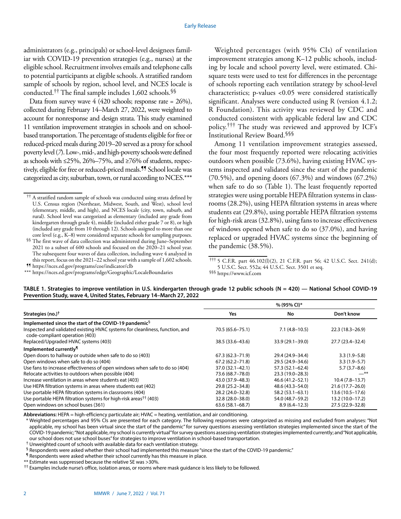administrators (e.g., principals) or school-level designees familiar with COVID-19 prevention strategies (e.g., nurses) at the eligible school. Recruitment involves emails and telephone calls to potential participants at eligible schools. A stratified random sample of schools by region, school level, and NCES locale is conducted.†† The final sample includes 1,602 schools.§§

Data from survey wave  $4 \ (420 \text{ schools};$  response rate = 26%), collected during February 14–March 27, 2022, were weighted to account for nonresponse and design strata. This study examined 11 ventilation improvement strategies in schools and on schoolbased transportation. The percentage of students eligible for free or reduced-priced meals during 2019–20 served as a proxy for school poverty level (*7*). Low-, mid-, and high-poverty schools were defined as schools with ≤25%, 26%–75%, and ≥76% of students, respectively, eligible for free or reduced-priced meals.¶¶ School locale was categorized as city, suburban, town, or rural according to NCES.\*\*\*

§§ The first wave of data collection was administered during June–September 2021 to a subset of 600 schools and focused on the 2020–21 school year. The subsequent four waves of data collection, including wave 4 analyzed in this report, focus on the 2021–22 school year with a sample of 1,602 schools.

Weighted percentages (with 95% CIs) of ventilation improvement strategies among K–12 public schools, including by locale and school poverty level, were estimated. Chisquare tests were used to test for differences in the percentage of schools reporting each ventilation strategy by school-level characteristics; p-values <0.05 were considered statistically significant. Analyses were conducted using R (version 4.1.2; R Foundation). This activity was reviewed by CDC and conducted consistent with applicable federal law and CDC policy.††† The study was reviewed and approved by ICF's Institutional Review Board.§§§

Among 11 ventilation improvement strategies assessed, the four most frequently reported were relocating activities outdoors when possible (73.6%), having existing HVAC systems inspected and validated since the start of the pandemic (70.5%), and opening doors (67.3%) and windows (67.2%) when safe to do so (Table 1). The least frequently reported strategies were using portable HEPA filtration systems in classrooms (28.2%), using HEPA filtration systems in areas where students eat (29.8%), using portable HEPA filtration systems for high-risk areas (32.8%), using fans to increase effectiveness of windows opened when safe to do so (37.0%), and having replaced or upgraded HVAC systems since the beginning of the pandemic (38.5%).

| TABLE 1. Strategies to improve ventilation in U.S. kindergarten through grade 12 public schools ( $N = 420$ ) - National School COVID-19 |  |
|------------------------------------------------------------------------------------------------------------------------------------------|--|
| Prevention Study, wave 4, United States, February 14–March 27, 2022                                                                      |  |

|                                                                                                                |                     | % (95% CI)*         |                     |
|----------------------------------------------------------------------------------------------------------------|---------------------|---------------------|---------------------|
| Strategies (no.) <sup>†</sup>                                                                                  | Yes                 | No                  | Don't know          |
| Implemented since the start of the COVID-19 pandemic <sup>§</sup>                                              |                     |                     |                     |
| Inspected and validated existing HVAC systems for cleanliness, function, and<br>code-compliant operation (403) | 70.5 (65.6 - 75.1)  | $7.1(4.8-10.5)$     | $22.3(18.3 - 26.9)$ |
| Replaced/Upgraded HVAC systems (403)                                                                           | 38.5 (33.6–43.6)    | 33.9 (29.1-39.0)    | 27.7 (23.4–32.4)    |
| Implemented currently <sup>1</sup>                                                                             |                     |                     |                     |
| Open doors to hallway or outside when safe to do so (403)                                                      | $67.3(62.3 - 71.9)$ | 29.4 (24.9–34.4)    | $3.3(1.9-5.8)$      |
| Open windows when safe to do so (404)                                                                          | $67.2(62.2 - 71.8)$ | 29.5 (24.9-34.6)    | $3.3(1.9-5.7)$      |
| Use fans to increase effectiveness of open windows when safe to do so (404)                                    | 37.0 (32.1-42.1)    | $57.3(52.1 - 62.4)$ | $5.7(3.7-8.6)$      |
| Relocate activities to outdoors when possible (404)                                                            | 73.6 (68.7-78.0)    | 23.3 (19.0-28.3)    | —**                 |
| Increase ventilation in areas where students eat (403)                                                         | 43.0 (37.9 - 48.3)  | 46.6 (41.2–52.1)    | $10.4(7.8-13.7)$    |
| Use HEPA filtration systems in areas where students eat (402)                                                  | 29.8 (25.2-34.8)    | 48.6 (43.3-54.0)    | $21.6(17.7-26.0)$   |
| Use portable HEPA filtration systems in classrooms (404)                                                       | 28.2 (24.0-32.8)    | $58.2(53.1 - 63.1)$ | $13.6(10.5-17.6)$   |
| Use portable HEPA filtration systems for high-risk areas <sup>††</sup> (403)                                   | 32.8 (28.0-38.0)    | 54.0 (48.7-59.2)    | $13.2(10.0-17.2)$   |
| Open windows on school buses (361)                                                                             | $63.6(58.1 - 68.7)$ | $8.9(6.4 - 12.3)$   | 27.5 (22.9 - 32.8)  |

**Abbreviations:** HEPA = high-efficiency particulate air; HVAC = heating, ventilation, and air conditioning.

\* Weighted percentages and 95% CIs are presented for each category. The following responses were categorized as missing and excluded from analyses: "Not applicable, my school has been virtual since the start of the pandemic" for survey questions assessing ventilation strategies implemented since the start of the COVID-19 pandemic; "Not applicable, my school is currently virtual" for survey questions assessing ventilation strategies implemented currently; and "Not applicable, our school does not use school buses" for strategies to improve ventilation in school-based transportation.

† Unweighted count of schools with available data for each ventilation strategy.

§ Respondents were asked whether their school had implemented this measure "since the start of the COVID-19 pandemic."

¶ Respondents were asked whether their school currently has this measure in place.

\*\* Estimate was suppressed because the relative SE was >30%.

<sup>††</sup> Examples include nurse's office, isolation areas, or rooms where mask guidance is less likely to be followed.

<sup>††</sup> A stratified random sample of schools was conducted using strata defined by U.S. Census region (Northeast, Midwest, South, and West), school level (elementary, middle, and high), and NCES locale (city, town, suburb, and rural). School level was categorized as elementary (included any grade from kindergarten through grade 4), middle (included either grade 7 or 8), or high (included any grade from 10 through 12). Schools assigned to more than one core level (e.g., K–8) were considered separate schools for sampling purposes.

<sup>¶¶</sup> <https://nces.ed.gov/programs/coe/indicator/clb>

<sup>\*\*\*</sup> <https://nces.ed.gov/programs/edge/Geographic/LocaleBoundaries>

<sup>†††</sup> 5 C.F.R. part 46.102(l)(2), 21 C.F.R. part 56; 42 U.S.C. Sect. 241(d); 5 U.S.C. Sect. 552a; 44 U.S.C. Sect. 3501 et seq. §§§ <https://www.icf.com>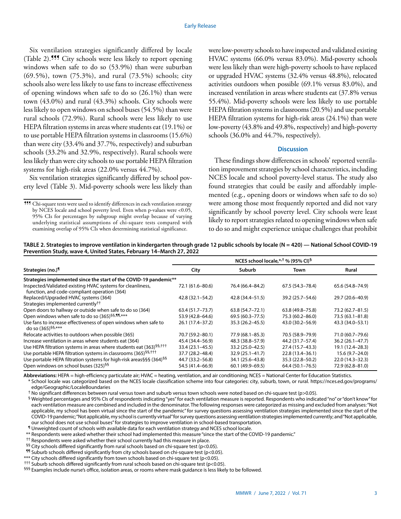Six ventilation strategies significantly differed by locale (Table 2).¶¶¶ City schools were less likely to report opening windows when safe to do so (53.9%) than were suburban (69.5%), town (75.3%), and rural (73.5%) schools; city schools also were less likely to use fans to increase effectiveness of opening windows when safe to do so (26.1%) than were town (43.0%) and rural (43.3%) schools. City schools were less likely to open windows on school buses (54.5%) than were rural schools (72.9%). Rural schools were less likely to use HEPA filtration systems in areas where students eat (19.1%) or to use portable HEPA filtration systems in classrooms (15.6%) than were city (33.4% and 37.7%, respectively) and suburban schools (33.2% and 32.9%, respectively). Rural schools were less likely than were city schools to use portable HEPA filtration systems for high-risk areas (22.0% versus 44.7%).

Six ventilation strategies significantly differed by school poverty level (Table 3). Mid-poverty schools were less likely than were low-poverty schools to have inspected and validated existing HVAC systems (66.0% versus 83.0%). Mid-poverty schools were less likely than were high-poverty schools to have replaced or upgraded HVAC systems (32.4% versus 48.8%), relocated activities outdoors when possible (69.1% versus 83.0%), and increased ventilation in areas where students eat (37.8% versus 55.4%). Mid-poverty schools were less likely to use portable HEPA filtration systems in classrooms (20.5%) and use portable HEPA filtration systems for high-risk areas (24.1%) than were low-poverty (43.8% and 49.8%, respectively) and high-poverty schools (36.0% and 44.7%, respectively).

## **Discussion**

These findings show differences in schools' reported ventilation improvement strategies by school characteristics, including NCES locale and school poverty-level status. The study also found strategies that could be easily and affordably implemented (e.g., opening doors or windows when safe to do so) were among those most frequently reported and did not vary significantly by school poverty level. City schools were least likely to report strategies related to opening windows when safe to do so and might experience unique challenges that prohibit

| TABLE 2. Strategies to improve ventilation in kindergarten through grade 12 public schools by locale ( $N = 420$ ) — National School COVID-19 |  |  |
|-----------------------------------------------------------------------------------------------------------------------------------------------|--|--|
| Prevention Study, wave 4, United States, February 14–March 27, 2022                                                                           |  |  |

|                                                                                                            | NCES school locale,*/ <sup>†</sup> % (95% CI) <sup>§</sup> |                     |                     |                     |
|------------------------------------------------------------------------------------------------------------|------------------------------------------------------------|---------------------|---------------------|---------------------|
| Strategies (no.) <sup>1</sup>                                                                              | City                                                       | Suburb              | Town                | Rural               |
| Strategies implemented since the start of the COVID-19 pandemic**                                          |                                                            |                     |                     |                     |
| Inspected/Validated existing HVAC systems for cleanliness,<br>function, and code-compliant operation (364) | 72.1 (61.6-80.6)                                           | 76.4 (66.4–84.2)    | 67.5 (54.3-78.4)    | 65.6 (54.8-74.9)    |
| Replaced/Upgraded HVAC systems (364)                                                                       | $42.8(32.1 - 54.2)$                                        | 42.8 (34.4–51.5)    | 39.2 (25.7-54.6)    | 29.7 (20.6-40.9)    |
| Strategies implemented currently <sup>††</sup>                                                             |                                                            |                     |                     |                     |
| Open doors to hallway or outside when safe to do so (364)                                                  | $63.4(51.7 - 73.7)$                                        | $63.8(54.7 - 72.1)$ | 63.8 (49.8-75.8)    | 73.2 (62.7-81.5)    |
| Open windows when safe to do so (365) <sup>§§,¶¶</sup> ,***                                                | 53.9 (42.8-64.6)                                           | $69.5(60.3 - 77.5)$ | 75.3 (60.2-86.0)    | 73.5 (63.1-81.8)    |
| Use fans to increase effectiveness of open windows when safe to<br>do so (365) <sup>§§,***</sup>           | 26.1 (17.4–37.2)                                           | $35.3(26.2 - 45.5)$ | 43.0 (30.2–56.9)    | 43.3 (34.0–53.1)    |
| Relocate activities to outdoors when possible (365)                                                        | 70.7 (59.2-80.1)                                           | 77.9 (68.1–85.3)    | 70.5 (58.9–79.9)    | 71.0 (60.7-79.6)    |
| Increase ventilation in areas where students eat (364)                                                     | 45.4 (34.4–56.9)                                           | 48.3 (38.8–57.9)    | 44.2 (31.7–57.4)    | $36.2(26.1 - 47.7)$ |
| Use HEPA filtration systems in areas where students eat (363) <sup>§§,†††</sup>                            | 33.4 (23.1-45.5)                                           | 33.2 (25.0–42.5)    | 27.4 (15.7–43.3)    | 19.1 (12.4–28.3)    |
| Use portable HEPA filtration systems in classrooms (365) <sup>§§,†††</sup>                                 | 37.7 (28.2-48.4)                                           | $32.9(25.1 - 41.7)$ | 22.8 (13.4 - 36.1)  | $15.6(9.7-24.0)$    |
| Use portable HEPA filtration systems for high-risk areas§§§ (364)§§                                        | 44.7 (33.2–56.8)                                           | 34.1 (25.6-43.8)    | 35.3 (22.8–50.2)    | 22.0 (14.3-32.3)    |
| Open windows on school buses (325) <sup>§§</sup>                                                           | 54.5 (41.4–66.9)                                           | $60.1(49.9 - 69.5)$ | $64.4(50.1 - 76.5)$ | 72.9 (62.8-81.0)    |

**Abbreviations:** HEPA = high-efficiency particulate air; HVAC = heating, ventilation, and air conditioning; NCES = National Center for Education Statistics.

\* School locale was categorized based on the NCES locale classification scheme into four categories: city, suburb, town, or rural. [https://nces.ed.gov/programs/](https://nces.ed.gov/programs/edge/Geographic/LocaleBoundaries) [edge/Geographic/LocaleBoundaries](https://nces.ed.gov/programs/edge/Geographic/LocaleBoundaries)

† No significant differences between rural versus town and suburb versus town schools were noted based on chi-square test (p>0.05).

§ Weighted percentages and 95% CIs of respondents indicating "yes" for each ventilation measure is reported. Respondents who indicated "no" or "don't know" for each ventilation measure are combined and included in the denominator. The following responses were categorized as missing and excluded from analyses: "Not applicable, my school has been virtual since the start of the pandemic" for survey questions assessing ventilation strategies implemented since the start of the COVID-19 pandemic; "Not applicable, my school is currently virtual" for survey questions assessing ventilation strategies implemented currently; and "Not applicable, our school does not use school buses" for strategies to improve ventilation in school-based transportation.

¶ Unweighted count of schools with available data for each ventilation strategy and NCES school locale.

\*\* Respondents were asked whether their school had implemented this measure "since the start of the COVID-19 pandemic."

†† Respondents were asked whether their school currently had this measure in place.

§§ City schools differed significantly from rural schools based on chi-square test (p<0.05).

 $\P$ <sup>1</sup> Suburb schools differed significantly from city schools based on chi-square test (p<0.05).

\*\*\* City schools differed significantly from town schools based on chi-square test (p<0.05).

††† Suburb schools differed significantly from rural schools based on chi-square test (p<0.05).

§§§ Examples include nurse's office, isolation areas, or rooms where mask guidance is less likely to be followed.

<sup>¶¶¶</sup> Chi-square tests were used to identify differences in each ventilation strategy by NCES locale and school poverty level. Even when p-values were <0.05, 95% CIs for percentages by subgroup might overlap because of varying underlying statistical assumptions of chi-square tests compared with examining overlap of 95% CIs when determining statistical significance.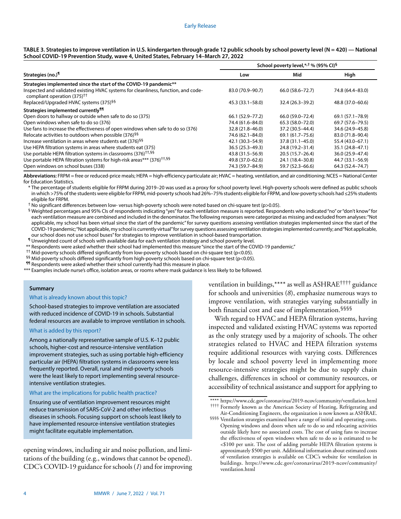|                                                                                                                               | School poverty level,*, <sup>†</sup> % (95% CI) <sup>§</sup> |                     |                  |
|-------------------------------------------------------------------------------------------------------------------------------|--------------------------------------------------------------|---------------------|------------------|
| Strategies (no.) <sup>1</sup>                                                                                                 | Low                                                          | Mid                 | High             |
| Strategies implemented since the start of the COVID-19 pandemic**                                                             |                                                              |                     |                  |
| Inspected and validated existing HVAC systems for cleanliness, function, and code-<br>compliant operation (375) <sup>††</sup> | 83.0 (70.9-90.7)                                             | 66.0 (58.6 - 72.7)  | 74.8 (64.4-83.0) |
| Replaced/Upgraded HVAC systems (375) <sup>§§</sup>                                                                            | 45.3 (33.1–58.0)                                             | 32.4 (26.3–39.2)    | 48.8 (37.0-60.6) |
| Strategies implemented currently <sup>11</sup>                                                                                |                                                              |                     |                  |
| Open doors to hallway or outside when safe to do so (375)                                                                     | 66.1 (52.9 - 77.2)                                           | 66.0 (59.0 - 72.4)  | 69.1 (57.1–78.9) |
| Open windows when safe to do so (376)                                                                                         | 74.4 (61.6-84.0)                                             | 65.3 (58.0-72.0)    | 69.7 (57.6–79.5) |
| Use fans to increase the effectiveness of open windows when safe to do so (376)                                               | 32.8 (21.8-46.0)                                             | 37.2 (30.5-44.4)    | 34.6 (24.9–45.8) |
| Relocate activities to outdoors when possible (376) <sup>§§</sup>                                                             | 74.6 (62.1-84.0)                                             | 69.1 (61.7–75.6)    | 83.0 (71.8-90.4) |
| Increase ventilation in areas where students eat (376) <sup>§§</sup>                                                          | 42.1 (30.3–54.9)                                             | $37.8(31.1 - 45.0)$ | 55.4 (43.0–67.1) |
| Use HEPA filtration systems in areas where students eat (375)                                                                 | 36.5 (25.3-49.3)                                             | 24.8 (19.2-31.4)    | 35.1 (24.8-47.1) |
| Use portable HEPA filtration systems in classrooms (376) <sup>††,§§</sup>                                                     | 43.8 (31.5 - 56.9)                                           | 20.5 (15.7-26.4)    | 36.0 (25.9-47.4) |
| Use portable HEPA filtration systems for high-risk areas*** (376) <sup>+1,§§</sup>                                            | 49.8 (37.0-62.6)                                             | 24.1 (18.4 - 30.8)  | 44.7 (33.1-56.9) |
| Open windows on school buses (338)                                                                                            | 74.3 (59.7-84.9)                                             | 59.7 (52.3-66.6)    | 64.3 (52.4-74.7) |

| TABLE 3. Strategies to improve ventilation in U.S. kindergarten through grade 12 public schools by school poverty level (N = 420) — National |
|----------------------------------------------------------------------------------------------------------------------------------------------|
| School COVID-19 Prevention Study, wave 4, United States, February 14–March 27, 2022                                                          |

**Abbreviations:** FRPM = free or reduced-price meals; HEPA = high-efficiency particulate air; HVAC = heating, ventilation, and air conditioning; NCES = National Center for Education Statistics.

\* The percentage of students eligible for FRPM during 2019–20 was used as a proxy for school poverty level. High-poverty schools were defined as public schools in which >75% of the students were eligible for FRPM, mid-poverty schools had 26%–75% students eligible for FRPM, and low-poverty schools had ≤25% students eligible for FRPM.

† No significant differences between low- versus high-poverty schools were noted based on chi-square test (p>0.05).

§ Weighted percentages and 95% CIs of respondents indicating "yes" for each ventilation measure is reported. Respondents who indicated "no" or "don't know" for each ventilation measure are combined and included in the denominator. The following responses were categorized as missing and excluded from analyses: "Not applicable, my school has been virtual since the start of the pandemic" for survey questions assessing ventilation strategies implemented since the start of the COVID-19 pandemic; "Not applicable, my school is currently virtual" for survey questions assessing ventilation strategies implemented currently; and "Not applicable, our school does not use school buses" for strategies to improve ventilation in school-based transportation.

¶ Unweighted count of schools with available data for each ventilation strategy and school poverty level.

\*\* Respondents were asked whether their school had implemented this measure "since the start of the COVID-19 pandemic."

†† Mid-poverty schools differed significantly from low-poverty schools based on chi-square test (p<0.05).

 $§$ § Mid-poverty schools differed significantly from high-poverty schools based on chi-square test (p<0.05).

¶¶ Respondents were asked whether their school currently had this measure in place.

\*\*\* Examples include nurse's office, isolation areas, or rooms where mask guidance is less likely to be followed.

## **Summary**

What is already known about this topic?

School-based strategies to improve ventilation are associated with reduced incidence of COVID-19 in schools. Substantial federal resources are available to improve ventilation in schools.

# What is added by this report?

Among a nationally representative sample of U.S. K–12 public schools, higher-cost and resource-intensive ventilation improvement strategies, such as using portable high-efficiency particular air (HEPA) filtration systems in classrooms were less frequently reported. Overall, rural and mid-poverty schools were the least likely to report implementing several resourceintensive ventilation strategies.

## What are the implications for public health practice?

Ensuring use of ventilation improvement resources might reduce transmission of SARS-CoV-2 and other infectious diseases in schools. Focusing support on schools least likely to have implemented resource-intensive ventilation strategies might facilitate equitable implementation.

opening windows, including air and noise pollution, and limitations of the building (e.g., windows that cannot be opened). CDC's COVID-19 guidance for schools (*1*) and for improving ventilation in buildings,\*\*\*\* as well as ASHRAE†††† guidance for schools and universities (*8*), emphasize numerous ways to improve ventilation, with strategies varying substantially in both financial cost and ease of implementation.§§§§

With regard to HVAC and HEPA filtration systems, having inspected and validated existing HVAC systems was reported as the only strategy used by a majority of schools. The other strategies related to HVAC and HEPA filtration systems require additional resources with varying costs. Differences by locale and school poverty level in implementing more resource-intensive strategies might be due to supply chain challenges, differences in school or community resources, or accessibility of technical assistance and support for applying to

<sup>\*\*\*\*</sup> <https://www.cdc.gov/coronavirus/2019-ncov/community/ventilation.html> †††† Formerly known as the American Society of Heating, Refrigerating and

Air-Conditioning Engineers, the organization is now known as ASHRAE. §§§§ Ventilation strategies examined have a range of initial and operating costs. Opening windows and doors when safe to do so and relocating activities outside likely have no associated costs. The cost of using fans to increase the effectiveness of open windows when safe to do so is estimated to be <\$100 per unit. The cost of adding portable HEPA filtration systems is approximately \$500 per unit. Additional information about estimated costs of ventilation strategies is available on CDC's website for ventilation in buildings. [https://www.cdc.gov/coronavirus/2019-ncov/community/](https://www.cdc.gov/coronavirus/2019-ncov/community/ventilation.html) [ventilation.html](https://www.cdc.gov/coronavirus/2019-ncov/community/ventilation.html)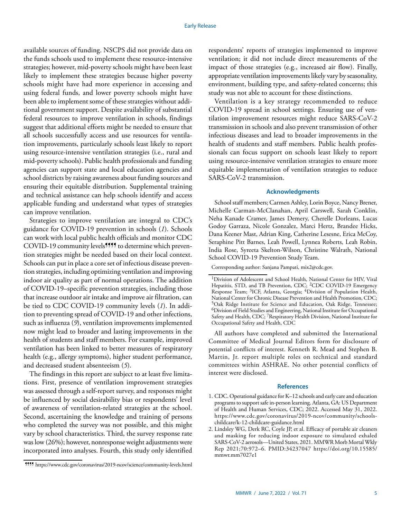available sources of funding. NSCPS did not provide data on the funds schools used to implement these resource-intensive strategies; however, mid-poverty schools might have been least likely to implement these strategies because higher poverty schools might have had more experience in accessing and using federal funds, and lower poverty schools might have been able to implement some of these strategies without additional government support. Despite availability of substantial federal resources to improve ventilation in schools, findings suggest that additional efforts might be needed to ensure that all schools successfully access and use resources for ventilation improvements, particularly schools least likely to report using resource-intensive ventilation strategies (i.e., rural and mid-poverty schools). Public health professionals and funding agencies can support state and local education agencies and school districts by raising awareness about funding sources and ensuring their equitable distribution. Supplemental training and technical assistance can help schools identify and access applicable funding and understand what types of strategies can improve ventilation.

Strategies to improve ventilation are integral to CDC's guidance for COVID-19 prevention in schools (*1*). Schools can work with local public health officials and monitor CDC COVID-19 community levels<sup>9999</sup> to determine which prevention strategies might be needed based on their local context. Schools can put in place a core set of infectious disease prevention strategies, including optimizing ventilation and improving indoor air quality as part of normal operations. The addition of COVID-19–specific prevention strategies, including those that increase outdoor air intake and improve air filtration, can be tied to CDC COVID-19 community levels (*1*). In addition to preventing spread of COVID-19 and other infections, such as influenza (*9*), ventilation improvements implemented now might lead to broader and lasting improvements in the health of students and staff members. For example, improved ventilation has been linked to better measures of respiratory health (e.g., allergy symptoms), higher student performance, and decreased student absenteeism (*5*).

The findings in this report are subject to at least five limitations. First, presence of ventilation improvement strategies was assessed through a self-report survey, and responses might be influenced by social desirability bias or respondents' level of awareness of ventilation-related strategies at the school. Second, ascertaining the knowledge and training of persons who completed the survey was not possible, and this might vary by school characteristics. Third, the survey response rate was low (26%); however, nonresponse weight adjustments were incorporated into analyses. Fourth, this study only identified

respondents' reports of strategies implemented to improve ventilation; it did not include direct measurements of the impact of those strategies (e.g., increased air flow). Finally, appropriate ventilation improvements likely vary by seasonality, environment, building type, and safety-related concerns; this study was not able to account for these distinctions.

Ventilation is a key strategy recommended to reduce COVID-19 spread in school settings. Ensuring use of ventilation improvement resources might reduce SARS-CoV-2 transmission in schools and also prevent transmission of other infectious diseases and lead to broader improvements in the health of students and staff members. Public health professionals can focus support on schools least likely to report using resource-intensive ventilation strategies to ensure more equitable implementation of ventilation strategies to reduce SARS-CoV-2 transmission.

### **Acknowledgments**

School staff members; Carmen Ashley, Lorin Boyce, Nancy Brener, Michelle Carman-McClanahan, April Carswell, Sarah Conklin, Neha Kanade Cramer, James Demery, Cherelle Dorleans, Lucas Godoy Garraza, Nicole Gonzalez, Marci Hertz, Brandee Hicks, Dana Keener Mast, Adrian King, Catherine Lesesne, Erica McCoy, Seraphine Pitt Barnes, Leah Powell, Lynnea Roberts, Leah Robin, India Rose, Syreeta Skelton-Wilson, Christine Walrath, National School COVID-19 Prevention Study Team.

Corresponding author: Sanjana Pampati, [mix2@cdc.gov.](mailto:mix2@cdc.gov)

All authors have completed and submitted the International Committee of Medical Journal Editors form for disclosure of potential conflicts of interest. Kenneth R. Mead and Stephen B. Martin, Jr. report multiple roles on technical and standard committees within ASHRAE. No other potential conflicts of interest were disclosed.

#### **References**

- 1. CDC. Operational guidance for K–12 schools and early care and education programs to support safe in-person learning. Atlanta, GA: US Department of Health and Human Services, CDC; 2022. Accessed May 31, 2022. [https://www.cdc.gov/coronavirus/2019-ncov/community/schools](https://www.cdc.gov/coronavirus/2019-ncov/community/schools-childcare/k-12-childcare-guidance.html)[childcare/k-12-childcare-guidance.html](https://www.cdc.gov/coronavirus/2019-ncov/community/schools-childcare/k-12-childcare-guidance.html)
- 2. Lindsley WG, Derk RC, Coyle JP, et al. Efficacy of portable air cleaners and masking for reducing indoor exposure to simulated exhaled SARS-CoV-2 aerosols—United States, 2021. MMWR Morb Mortal Wkly Rep 2021;70:972–6. [PMID:34237047](https://www.ncbi.nlm.nih.gov/entrez/query.fcgi?cmd=Retrieve&db=PubMed&list_uids=34237047&dopt=Abstract) [https://doi.org/10.15585/](https://doi.org/10.15585/mmwr.mm7027e1) [mmwr.mm7027e1](https://doi.org/10.15585/mmwr.mm7027e1)

<sup>¶¶¶¶</sup> <https://www.cdc.gov/coronavirus/2019-ncov/science/community-levels.html>

<sup>1</sup>Division of Adolescent and School Health, National Center for HIV, Viral Hepatitis, STD, and TB Prevention, CDC; <sup>2</sup>CDC COVID-19 Emergency Response Team; 3ICF, Atlanta, Georgia; 4Division of Population Health, National Center for Chronic Disease Prevention and Health Promotion, CDC; 5Oak Ridge Institute for Science and Education, Oak Ridge, Tennessee; 6Division of Field Studies and Engineering, National Institute for Occupational Safety and Health, CDC; 7Respiratory Health Division, National Institute for Occupational Safety and Health, CDC